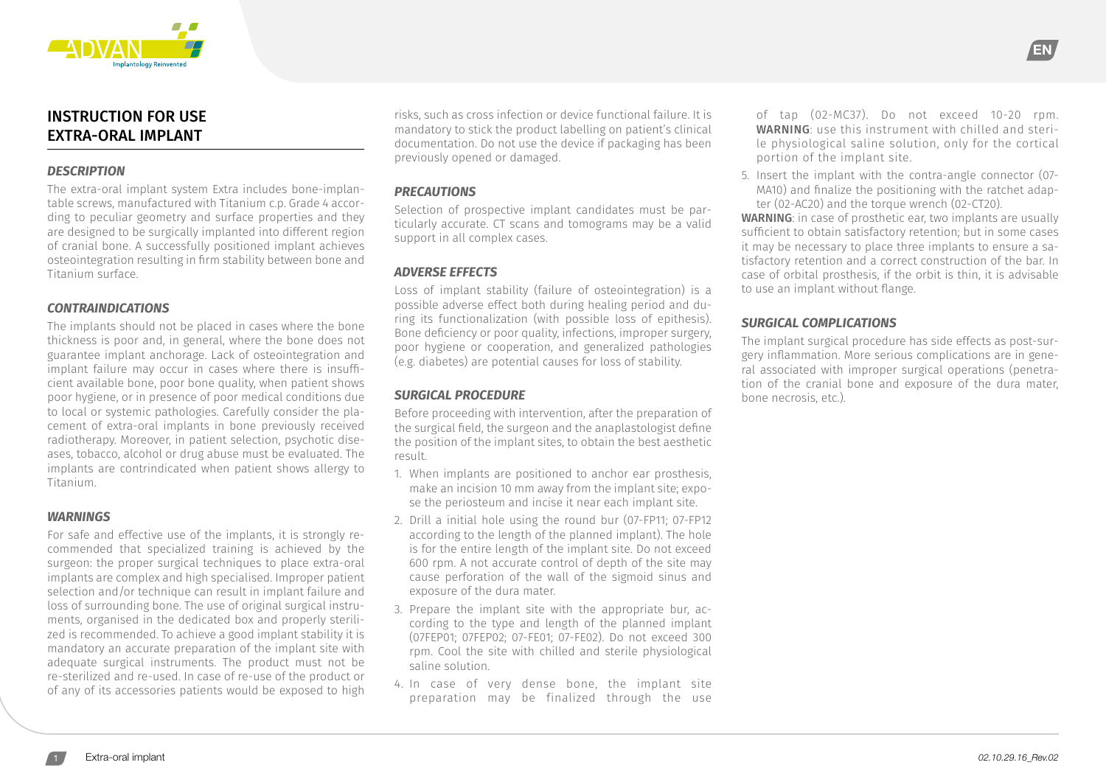

# INSTRUCTION FOR USE EXTRA-ORAL IMPLANT

#### *DESCRIPTION*

The extra-oral implant system Extra includes bone-implantable screws, manufactured with Titanium c.p. Grade 4 according to peculiar geometry and surface properties and they are designed to be surgically implanted into different region of cranial bone. A successfully positioned implant achieves osteointegration resulting in firm stability between bone and Titanium surface.

### *CONTRAINDICATIONS*

The implants should not be placed in cases where the bone thickness is poor and, in general, where the bone does not guarantee implant anchorage. Lack of osteointegration and implant failure may occur in cases where there is insufficient available bone, poor bone quality, when patient shows poor hygiene, or in presence of poor medical conditions due to local or systemic pathologies. Carefully consider the placement of extra-oral implants in bone previously received radiotherapy. Moreover, in patient selection, psychotic diseases, tobacco, alcohol or drug abuse must be evaluated. The implants are contrindicated when patient shows allergy to Titanium.

#### *WARNINGS*

For safe and effective use of the implants, it is strongly recommended that specialized training is achieved by the surgeon: the proper surgical techniques to place extra-oral implants are complex and high specialised. Improper patient selection and/or technique can result in implant failure and loss of surrounding bone. The use of original surgical instruments, organised in the dedicated box and properly sterilized is recommended. To achieve a good implant stability it is mandatory an accurate preparation of the implant site with adequate surgical instruments. The product must not be re-sterilized and re-used. In case of re-use of the product or of any of its accessories patients would be exposed to high

risks, such as cross infection or device functional failure. It is mandatory to stick the product labelling on patient's clinical documentation. Do not use the device if packaging has been previously opened or damaged.

## *PRECAUTIONS*

Selection of prospective implant candidates must be particularly accurate. CT scans and tomograms may be a valid support in all complex cases.

### *ADVERSE EFFECTS*

Loss of implant stability (failure of osteointegration) is a possible adverse effect both during healing period and during its functionalization (with possible loss of epithesis). Bone deficiency or poor quality, infections, improper surgery, poor hygiene or cooperation, and generalized pathologies (e.g. diabetes) are potential causes for loss of stability.

## *SURGICAL PROCEDURE*

Before proceeding with intervention, after the preparation of the surgical field, the surgeon and the anaplastologist define the position of the implant sites, to obtain the best aesthetic result.

- 1. When implants are positioned to anchor ear prosthesis, make an incision 10 mm away from the implant site; expose the periosteum and incise it near each implant site.
- 2. Drill a initial hole using the round bur (07-FP11; 07-FP12 according to the length of the planned implant). The hole is for the entire length of the implant site. Do not exceed 600 rpm. A not accurate control of depth of the site may cause perforation of the wall of the sigmoid sinus and exposure of the dura mater.
- 3. Prepare the implant site with the appropriate bur, according to the type and length of the planned implant (07FEP01; 07FEP02; 07-FE01; 07-FE02). Do not exceed 300 rpm. Cool the site with chilled and sterile physiological saline solution.
- 4. In case of very dense bone, the implant site preparation may be finalized through the use

of tap (02-MC37). Do not exceed 10-20 rpm. WARNING: use this instrument with chilled and sterile physiological saline solution, only for the cortical portion of the implant site.

EN

5. Insert the implant with the contra-angle connector (07- MA10) and finalize the positioning with the ratchet adapter (02-AC20) and the torque wrench (02-CT20).

WARNING: in case of prosthetic ear, two implants are usually sufficient to obtain satisfactory retention; but in some cases it may be necessary to place three implants to ensure a satisfactory retention and a correct construction of the bar. In case of orbital prosthesis, if the orbit is thin, it is advisable to use an implant without flange.

### *SURGICAL COMPLICATIONS*

The implant surgical procedure has side effects as post-surgery inflammation. More serious complications are in general associated with improper surgical operations (penetration of the cranial bone and exposure of the dura mater, bone necrosis, etc.)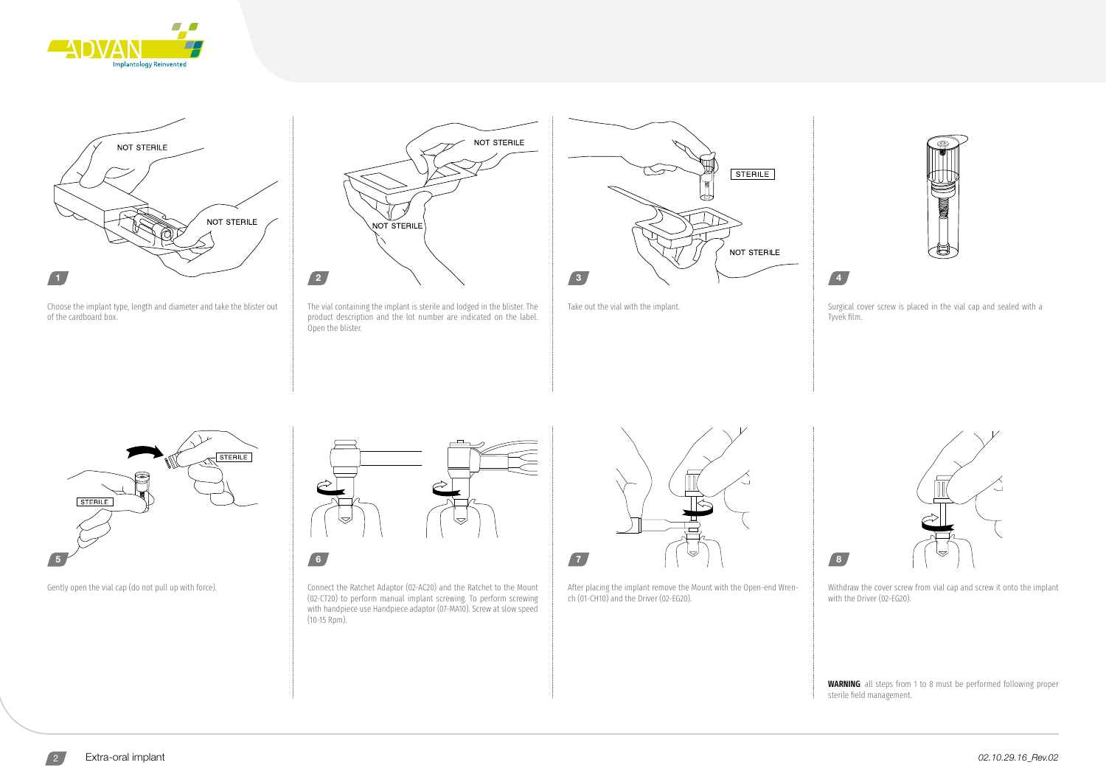



Choose the implant type, length and diameter and take the blister out of the cardboard box.



The vial containing the implant is sterile and lodged in the blister. The product description and the lot number are indicated on the label. Open the blister.





Take out the vial with the implant.  $\parallel$  Surgical cover screw is placed in the vial cap and sealed with a Tyvek film.





Gently open the vial cap (do not pull up with force). Connect the Ratchet Adaptor (02-AC20) and the Ratchet to the Mount (02-CT20) to perform manual implant screwing. To perform screwing with handpiece use Handpiece adaptor (07-MA10). Screw at slow speed (10-15 Rpm).



After placing the implant remove the Mount with the Open-end Wrench (01-CH10) and the Driver (02-EG20).



Withdraw the cover screw from vial cap and screw it onto the implant with the Driver (02-EG20).

8

WARNING: all steps from 1 to 8 must be performed following proper sterile field management.